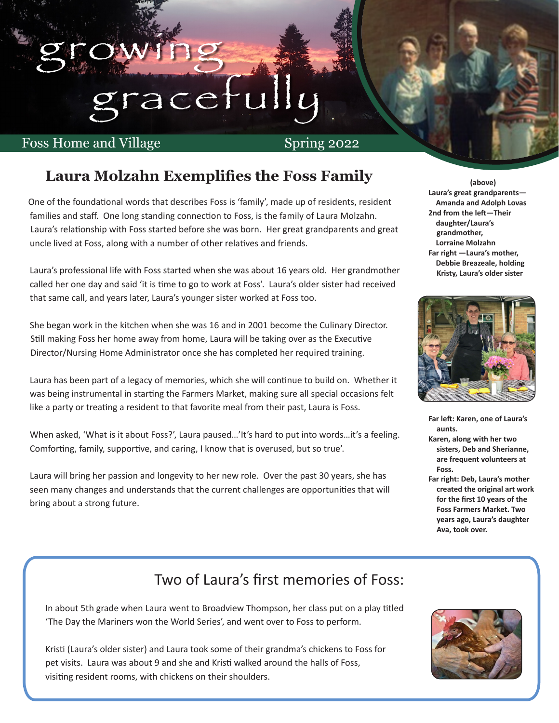# gracetull

### Foss Home and Village Spring 2022

Ī

growing

### **Laura Molzahn Exemplifies the Foss Family**

 One of the foundational words that describes Foss is 'family', made up of residents, resident families and staff. One long standing connection to Foss, is the family of Laura Molzahn. Laura's relationship with Foss started before she was born. Her great grandparents and great uncle lived at Foss, along with a number of other relatives and friends.

Laura's professional life with Foss started when she was about 16 years old. Her grandmother called her one day and said 'it is time to go to work at Foss'. Laura's older sister had received that same call, and years later, Laura's younger sister worked at Foss too.

She began work in the kitchen when she was 16 and in 2001 become the Culinary Director. Still making Foss her home away from home, Laura will be taking over as the Executive Director/Nursing Home Administrator once she has completed her required training.

Laura has been part of a legacy of memories, which she will continue to build on. Whether it was being instrumental in starting the Farmers Market, making sure all special occasions felt like a party or treating a resident to that favorite meal from their past, Laura is Foss.

When asked, 'What is it about Foss?', Laura paused…'It's hard to put into words…it's a feeling. Comforting, family, supportive, and caring, I know that is overused, but so true'.

Laura will bring her passion and longevity to her new role. Over the past 30 years, she has seen many changes and understands that the current challenges are opportunities that will bring about a strong future.

**(above) Laura's great grandparents— Amanda and Adolph Lovas 2nd from the left—Their daughter/Laura's grandmother, Lorraine Molzahn Far right —Laura's mother, Debbie Breazeale, holding Kristy, Laura's older sister**



**Far left: Karen, one of Laura's aunts.** 

- **Karen, along with her two sisters, Deb and Sherianne, are frequent volunteers at Foss.**
- **Far right: Deb, Laura's mother created the original art work for the first 10 years of the Foss Farmers Market. Two years ago, Laura's daughter Ava, took over.**

### Two of Laura's first memories of Foss:

In about 5th grade when Laura went to Broadview Thompson, her class put on a play titled 'The Day the Mariners won the World Series', and went over to Foss to perform.

**their grand ma's chi current location.** Kristi (Laura's older sister) and Laura took some of their grandma's chickens to Foss for pet visits. Laura was about 9 and she and Kristi walked around the halls of Foss, visiting resident rooms, with chickens on their shoulders.

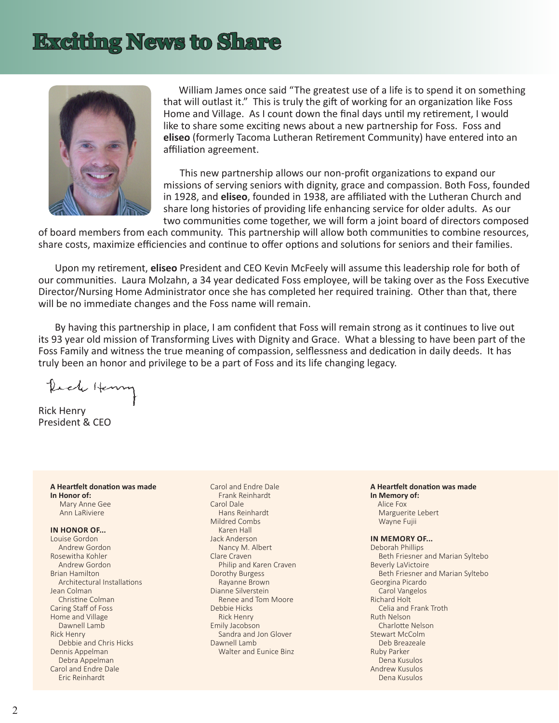### **Exciting News to Share**



 William James once said "The greatest use of a life is to spend it on something that will outlast it." This is truly the gift of working for an organization like Foss Home and Village. As I count down the final days until my retirement, I would like to share some exciting news about a new partnership for Foss. Foss and **eliseo** (formerly Tacoma Lutheran Retirement Community) have entered into an affiliation agreement.

 This new partnership allows our non-profit organizations to expand our missions of serving seniors with dignity, grace and compassion. Both Foss, founded in 1928, and **eliseo**, founded in 1938, are affiliated with the Lutheran Church and share long histories of providing life enhancing service for older adults. As our two communities come together, we will form a joint board of directors composed

of board members from each community. This partnership will allow both communities to combine resources, share costs, maximize efficiencies and continue to offer options and solutions for seniors and their families.

Upon my retirement, **eliseo** President and CEO Kevin McFeely will assume this leadership role for both of our communities. Laura Molzahn, a 34 year dedicated Foss employee, will be taking over as the Foss Executive Director/Nursing Home Administrator once she has completed her required training. Other than that, there will be no immediate changes and the Foss name will remain.

By having this partnership in place, I am confident that Foss will remain strong as it continues to live out its 93 year old mission of Transforming Lives with Dignity and Grace. What a blessing to have been part of the Foss Family and witness the true meaning of compassion, selflessness and dedication in daily deeds. It has truly been an honor and privilege to be a part of Foss and its life changing legacy.

ich Henn

Rick Henry President & CEO

**A Heartfelt donation was made In Honor of:** Mary Anne Gee Ann LaRiviere

### **IN HONOR OF...**

Louise Gordon Andrew Gordon Rosewitha Kohler Andrew Gordon Brian Hamilton Architectural Installations Jean Colman Christine Colman Caring Staff of Foss Home and Village Dawnell Lamb Rick Henry Debbie and Chris Hicks Dennis Appelman Debra Appelman Carol and Endre Dale Eric Reinhardt

Carol and Endre Dale Frank Reinhardt Carol Dale Hans Reinhardt Mildred Combs Karen Hall Jack Anderson Nancy M. Albert Clare Craven Philip and Karen Craven Dorothy Burgess Rayanne Brown Dianne Silverstein Renee and Tom Moore Debbie Hicks Rick Henry Emily Jacobson Sandra and Jon Glover Dawnell Lamb Walter and Eunice Binz

**A Heartfelt donation was made In Memory of:** Alice Fox Marguerite Lebert Wayne Fujii

### **IN MEMORY OF...**

Deborah Phillips Beth Friesner and Marian Syltebo Beverly LaVictoire Beth Friesner and Marian Syltebo Georgina Picardo Carol Vangelos Richard Holt Celia and Frank Troth Ruth Nelson Charlotte Nelson Stewart McColm Deb Breazeale Ruby Parker Dena Kusulos Andrew Kusulos Dena Kusulos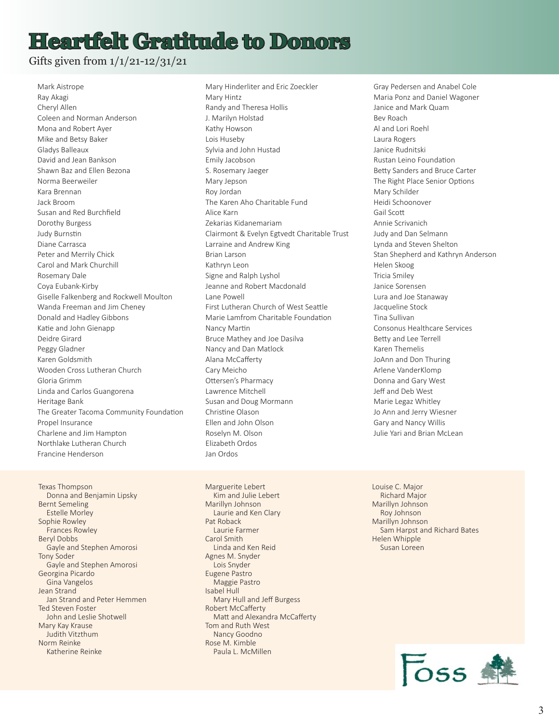### **Heartfelt Gratitude to Donors**

Gifts given from 1/1/21-12/31/21

Mark Aistrope Ray Akagi Cheryl Allen Coleen and Norman Anderson Mona and Robert Ayer Mike and Betsy Baker Gladys Balleaux David and Jean Bankson Shawn Baz and Ellen Bezona Norma Beerweiler Kara Brennan Jack Broom Susan and Red Burchfield Dorothy Burgess Judy Burnstin Diane Carrasca Peter and Merrily Chick Carol and Mark Churchill Rosemary Dale Coya Eubank-Kirby Giselle Falkenberg and Rockwell Moulton Wanda Freeman and Jim Cheney Donald and Hadley Gibbons Katie and John Gienapp Deidre Girard Peggy Gladner Karen Goldsmith Wooden Cross Lutheran Church Gloria Grimm Linda and Carlos Guangorena Heritage Bank The Greater Tacoma Community Foundation Propel Insurance Charlene and Jim Hampton Northlake Lutheran Church Francine Henderson

Texas Thompson Donna and Benjamin Lipsky Bernt Semeling Estelle Morley Sophie Rowley Frances Rowley Beryl Dobbs Gayle and Stephen Amorosi Tony Soder Gayle and Stephen Amorosi Georgina Picardo Gina Vangelos Jean Strand Jan Strand and Peter Hemmen Ted Steven Foster John and Leslie Shotwell Mary Kay Krause Judith Vitzthum Norm Reinke Katherine Reinke

Mary Hinderliter and Eric Zoeckler Mary Hintz Randy and Theresa Hollis J. Marilyn Holstad Kathy Howson Lois Huseby Sylvia and John Hustad Emily Jacobson S. Rosemary Jaeger Mary Jepson Roy Jordan The Karen Aho Charitable Fund Alice Karn Zekarias Kidanemariam Clairmont & Evelyn Egtvedt Charitable Trust Larraine and Andrew King Brian Larson Kathryn Leon Signe and Ralph Lyshol Jeanne and Robert Macdonald Lane Powell First Lutheran Church of West Seattle Marie Lamfrom Charitable Foundation Nancy Martin Bruce Mathey and Joe Dasilva Nancy and Dan Matlock Alana McCafferty Cary Meicho Ottersen's Pharmacy Lawrence Mitchell Susan and Doug Mormann Christine Olason Ellen and John Olson Roselyn M. Olson Elizabeth Ordos Jan Ordos

Marguerite Lebert Kim and Julie Lebert Marillyn Johnson Laurie and Ken Clary Pat Roback Laurie Farmer Carol Smith Linda and Ken Reid Agnes M. Snyder Lois Snyder Eugene Pastro Maggie Pastro Isabel Hull Mary Hull and Jeff Burgess Robert McCafferty Matt and Alexandra McCafferty Tom and Ruth West Nancy Goodno Rose M. Kimble Paula L. McMillen

Gray Pedersen and Anabel Cole Maria Ponz and Daniel Wagoner Janice and Mark Quam Bev Roach Al and Lori Roehl Laura Rogers Janice Rudnitski Rustan Leino Foundation Betty Sanders and Bruce Carter The Right Place Senior Options Mary Schilder Heidi Schoonover Gail Scott Annie Scrivanich Judy and Dan Selmann Lynda and Steven Shelton Stan Shepherd and Kathryn Anderson Helen Skoog Tricia Smiley Janice Sorensen Lura and Joe Stanaway Jacqueline Stock Tina Sullivan Consonus Healthcare Services Betty and Lee Terrell Karen Themelis JoAnn and Don Thuring Arlene VanderKlomp Donna and Gary West Jeff and Deb West Marie Legaz Whitley Jo Ann and Jerry Wiesner Gary and Nancy Willis Julie Yari and Brian McLean

Louise C. Major Richard Major Marillyn Johnson Roy Johnson Marillyn Johnson Sam Harpst and Richard Bates Helen Whipple Susan Loreen